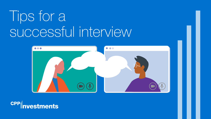# Tips for a successful interview



**CPP ivestments**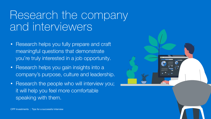#### Research the company and interviewers

- Research helps you fully prepare and craft meaningful questions that demonstrate you're truly interested in a job opportunity.
- Research helps you gain insights into a company's purpose, culture and leadership.
- Research the people who will interview you; it will help you feel more comfortable speaking with them.

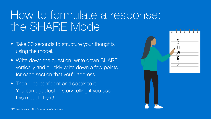#### How to formulate a response: the SHARE Model

- Take 30 seconds to structure your thoughts using the model.
- Write down the question, write down SHARE vertically and quickly write down a few points for each section that you'll address.
- Then...be confident and speak to it. You can't get lost in story telling if you use this model. Try it!

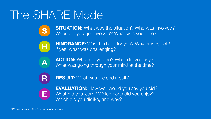#### The SHARE Model



**SITUATION:** What was the situation? Who was involved? When did you get involved? What was your role?



**HINDRANCE:** Was this hard for you? Why or why not? If yes, what was challenging?



ACTION: What did you do? What did you say? What was going through your mind at the time?



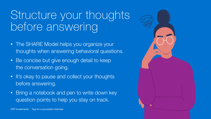#### Structure your thoughts before answering

- The SHARE Model helps you organize your thoughts when answering behavioral questions.
- Be concise but give enough detail to keep the conversation going.
- It's okay to pause and collect your thoughts before answering.
- Bring a notebook and pen to write down key question points to help you stay on track.

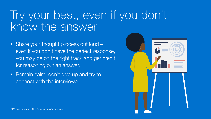#### Try your best, even if you don't know the answer

- Share your thought process out loud even if you don't have the perfect response, you may be on the right track and get credit for reasoning out an answer.
- Remain calm, don't give up and try to connect with the interviewer.

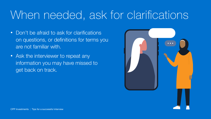### When needed, ask for clarifications

- Don't be afraid to ask for clarifications on questions, or definitions for terms you are not familiar with.
- Ask the interviewer to repeat any information you may have missed to get back on track.

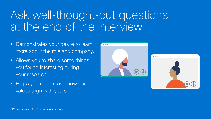#### Ask well-thought-out questions at the end of the interview

- Demonstrates your desire to learn more about the role and company.
- Allows you to share some things you found interesting during your research.
- Helps you understand how our values align with yours.

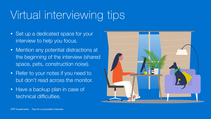## Virtual interviewing tips

- Set up a dedicated space for your interview to help you focus.
- Mention any potential distractions at the beginning of the interview (shared space, pets, construction noise).
- Refer to your notes if you need to but don't read across the monitor.
- Have a backup plan in case of technical difficulties.